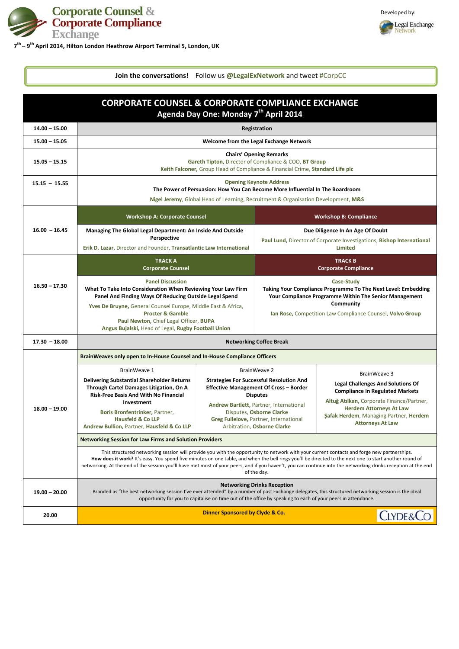

Developed by:



| <b>CORPORATE COUNSEL &amp; CORPORATE COMPLIANCE EXCHANGE</b><br>Agenda Day One: Monday 7 <sup>th</sup> April 2014 |                                                                                                                                                                                                                                                                                                                                                                                                                                                                                       |                                                                                                                                                                                                                                                                                            |                                                                                                                                                                                                                               |                                                                                                                                                                                                                                                               |
|-------------------------------------------------------------------------------------------------------------------|---------------------------------------------------------------------------------------------------------------------------------------------------------------------------------------------------------------------------------------------------------------------------------------------------------------------------------------------------------------------------------------------------------------------------------------------------------------------------------------|--------------------------------------------------------------------------------------------------------------------------------------------------------------------------------------------------------------------------------------------------------------------------------------------|-------------------------------------------------------------------------------------------------------------------------------------------------------------------------------------------------------------------------------|---------------------------------------------------------------------------------------------------------------------------------------------------------------------------------------------------------------------------------------------------------------|
| $14.00 - 15.00$                                                                                                   |                                                                                                                                                                                                                                                                                                                                                                                                                                                                                       |                                                                                                                                                                                                                                                                                            | <b>Registration</b>                                                                                                                                                                                                           |                                                                                                                                                                                                                                                               |
| $15.00 - 15.05$                                                                                                   |                                                                                                                                                                                                                                                                                                                                                                                                                                                                                       |                                                                                                                                                                                                                                                                                            | Welcome from the Legal Exchange Network                                                                                                                                                                                       |                                                                                                                                                                                                                                                               |
| $15.05 - 15.15$                                                                                                   | <b>Chairs' Opening Remarks</b><br>Gareth Tipton, Director of Compliance & COO, BT Group<br>Keith Falconer, Group Head of Compliance & Financial Crime, Standard Life plc                                                                                                                                                                                                                                                                                                              |                                                                                                                                                                                                                                                                                            |                                                                                                                                                                                                                               |                                                                                                                                                                                                                                                               |
| $15.15 - 15.55$                                                                                                   | <b>Opening Keynote Address</b><br>The Power of Persuasion: How You Can Become More Influential In The Boardroom<br>Nigel Jeremy, Global Head of Learning, Recruitment & Organisation Development, M&S                                                                                                                                                                                                                                                                                 |                                                                                                                                                                                                                                                                                            |                                                                                                                                                                                                                               |                                                                                                                                                                                                                                                               |
|                                                                                                                   | <b>Workshop A: Corporate Counsel</b>                                                                                                                                                                                                                                                                                                                                                                                                                                                  |                                                                                                                                                                                                                                                                                            | <b>Workshop B: Compliance</b>                                                                                                                                                                                                 |                                                                                                                                                                                                                                                               |
| $16.00 - 16.45$                                                                                                   | Managing The Global Legal Department: An Inside And Outside<br>Perspective<br>Erik D. Lazar, Director and Founder, Transatlantic Law International                                                                                                                                                                                                                                                                                                                                    |                                                                                                                                                                                                                                                                                            | Due Diligence In An Age Of Doubt<br>Paul Lund, Director of Corporate Investigations, Bishop International<br><b>Limited</b>                                                                                                   |                                                                                                                                                                                                                                                               |
|                                                                                                                   | <b>TRACK A</b><br><b>Corporate Counsel</b>                                                                                                                                                                                                                                                                                                                                                                                                                                            |                                                                                                                                                                                                                                                                                            | <b>TRACK B</b><br><b>Corporate Compliance</b>                                                                                                                                                                                 |                                                                                                                                                                                                                                                               |
| $16.50 - 17.30$                                                                                                   | <b>Panel Discussion</b><br>What To Take Into Consideration When Reviewing Your Law Firm<br>Panel And Finding Ways Of Reducing Outside Legal Spend<br>Yves De Bruyne, General Counsel Europe, Middle East & Africa,<br><b>Procter &amp; Gamble</b><br>Paul Newton, Chief Legal Officer, BUPA<br>Angus Bujalski, Head of Legal, Rugby Football Union                                                                                                                                    |                                                                                                                                                                                                                                                                                            | <b>Case-Study</b><br>Taking Your Compliance Programme To The Next Level: Embedding<br>Your Compliance Programme Within The Senior Management<br><b>Community</b><br>Ian Rose, Competition Law Compliance Counsel, Volvo Group |                                                                                                                                                                                                                                                               |
| $17.30 - 18.00$                                                                                                   | <b>Networking Coffee Break</b>                                                                                                                                                                                                                                                                                                                                                                                                                                                        |                                                                                                                                                                                                                                                                                            |                                                                                                                                                                                                                               |                                                                                                                                                                                                                                                               |
|                                                                                                                   | BrainWeaves only open to In-House Counsel and In-House Compliance Officers                                                                                                                                                                                                                                                                                                                                                                                                            |                                                                                                                                                                                                                                                                                            |                                                                                                                                                                                                                               |                                                                                                                                                                                                                                                               |
| $18.00 - 19.00$                                                                                                   | BrainWeave 1<br><b>Delivering Substantial Shareholder Returns</b><br>Through Cartel Damages Litigation, On A<br><b>Risk-Free Basis And With No Financial</b><br>Investment<br>Boris Bronfentrinker, Partner,<br><b>Hausfeld &amp; Co LLP</b><br>Andrew Bullion, Partner, Hausfeld & Co LLP                                                                                                                                                                                            | <b>BrainWeave 2</b><br><b>Strategies For Successful Resolution And</b><br><b>Effective Management Of Cross - Border</b><br><b>Disputes</b><br>Andrew Bartlett, Partner, International<br>Disputes, Osborne Clarke<br>Greg Fullelove, Partner, International<br>Arbitration, Osborne Clarke |                                                                                                                                                                                                                               | BrainWeave 3<br><b>Legal Challenges And Solutions Of</b><br><b>Compliance In Regulated Markets</b><br>Altuğ Atılkan, Corporate Finance/Partner,<br><b>Herdem Attorneys At Law</b><br><b>Şafak Herdem, Managing Partner, Herdem</b><br><b>Attorneys At Law</b> |
|                                                                                                                   | <b>Networking Session for Law Firms and Solution Providers</b>                                                                                                                                                                                                                                                                                                                                                                                                                        |                                                                                                                                                                                                                                                                                            |                                                                                                                                                                                                                               |                                                                                                                                                                                                                                                               |
|                                                                                                                   | This structured networking session will provide you with the opportunity to network with your current contacts and forge new partnerships.<br>How does it work? It's easy. You spend five minutes on one table, and when the bell rings you'll be directed to the next one to start another round of<br>networking. At the end of the session you'll have met most of your peers, and if you haven't, you can continue into the networking drinks reception at the end<br>of the day. |                                                                                                                                                                                                                                                                                            |                                                                                                                                                                                                                               |                                                                                                                                                                                                                                                               |
| $19.00 - 20.00$                                                                                                   | <b>Networking Drinks Reception</b><br>Branded as "the best networking session I've ever attended" by a number of past Exchange delegates, this structured networking session is the ideal<br>opportunity for you to capitalise on time out of the office by speaking to each of your peers in attendance.                                                                                                                                                                             |                                                                                                                                                                                                                                                                                            |                                                                                                                                                                                                                               |                                                                                                                                                                                                                                                               |
| 20.00                                                                                                             | <b>Dinner Sponsored by Clyde &amp; Co.</b><br><b>CLYDE&amp;CC</b>                                                                                                                                                                                                                                                                                                                                                                                                                     |                                                                                                                                                                                                                                                                                            |                                                                                                                                                                                                                               |                                                                                                                                                                                                                                                               |

**Join the conversations!** Follow us **@LegalExNetwork** and tweet #CorpCC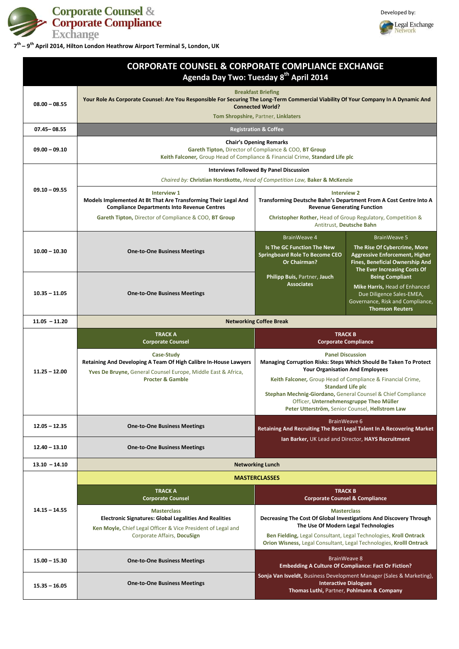

Developed by:



|                 | <b>CORPORATE COUNSEL &amp; CORPORATE COMPLIANCE EXCHANGE</b>                                                                                                                                                                        | Agenda Day Two: Tuesday 8th April 2014                                                                                                                                                                                                                                       |                                                                                                                                                                                                                                                                                                                                                                                                 |  |
|-----------------|-------------------------------------------------------------------------------------------------------------------------------------------------------------------------------------------------------------------------------------|------------------------------------------------------------------------------------------------------------------------------------------------------------------------------------------------------------------------------------------------------------------------------|-------------------------------------------------------------------------------------------------------------------------------------------------------------------------------------------------------------------------------------------------------------------------------------------------------------------------------------------------------------------------------------------------|--|
| $08.00 - 08.55$ | <b>Breakfast Briefing</b><br>Your Role As Corporate Counsel: Are You Responsible For Securing The Long-Term Commercial Viability Of Your Company In A Dynamic And<br><b>Connected World?</b><br>Tom Shropshire, Partner, Linklaters |                                                                                                                                                                                                                                                                              |                                                                                                                                                                                                                                                                                                                                                                                                 |  |
| $07.45 - 08.55$ |                                                                                                                                                                                                                                     | <b>Registration &amp; Coffee</b>                                                                                                                                                                                                                                             |                                                                                                                                                                                                                                                                                                                                                                                                 |  |
| $09.00 - 09.10$ | <b>Chair's Opening Remarks</b><br>Gareth Tipton, Director of Compliance & COO, BT Group<br>Keith Falconer, Group Head of Compliance & Financial Crime, Standard Life plc                                                            |                                                                                                                                                                                                                                                                              |                                                                                                                                                                                                                                                                                                                                                                                                 |  |
|                 | <b>Interviews Followed By Panel Discussion</b>                                                                                                                                                                                      |                                                                                                                                                                                                                                                                              |                                                                                                                                                                                                                                                                                                                                                                                                 |  |
|                 | Chaired by: Christian Horstkotte, Head of Competition Law, Baker & McKenzie                                                                                                                                                         |                                                                                                                                                                                                                                                                              |                                                                                                                                                                                                                                                                                                                                                                                                 |  |
| $09.10 - 09.55$ | <b>Interview 1</b><br>Models Implemented At Bt That Are Transforming Their Legal And<br><b>Compliance Departments Into Revenue Centres</b><br>Gareth Tipton, Director of Compliance & COO, BT Group                                 | <b>Interview 2</b><br>Transforming Deutsche Bahn's Department From A Cost Centre Into A<br><b>Revenue Generating Function</b><br>Christopher Rother, Head of Group Regulatory, Competition &<br>Antitrust, Deutsche Bahn                                                     |                                                                                                                                                                                                                                                                                                                                                                                                 |  |
|                 |                                                                                                                                                                                                                                     | <b>BrainWeave 4</b>                                                                                                                                                                                                                                                          | <b>BrainWeave 5</b>                                                                                                                                                                                                                                                                                                                                                                             |  |
| $10.00 - 10.30$ | <b>One-to-One Business Meetings</b>                                                                                                                                                                                                 | <b>Is The GC Function The New</b><br><b>Springboard Role To Become CEO</b><br><b>Or Chairman?</b>                                                                                                                                                                            | The Rise Of Cybercrime, More<br><b>Aggressive Enforcement, Higher</b><br><b>Fines, Beneficial Ownership And</b><br>The Ever Increasing Costs Of                                                                                                                                                                                                                                                 |  |
| $10.35 - 11.05$ | <b>One-to-One Business Meetings</b>                                                                                                                                                                                                 | Philipp Buis, Partner, Jauch<br><b>Associates</b>                                                                                                                                                                                                                            | <b>Being Compliant</b><br>Mike Harris, Head of Enhanced<br>Due Diligence Sales-EMEA,<br>Governance, Risk and Compliance,<br><b>Thomson Reuters</b>                                                                                                                                                                                                                                              |  |
| $11.05 - 11.20$ | <b>Networking Coffee Break</b>                                                                                                                                                                                                      |                                                                                                                                                                                                                                                                              |                                                                                                                                                                                                                                                                                                                                                                                                 |  |
|                 | <b>TRACK A</b><br><b>Corporate Counsel</b>                                                                                                                                                                                          | <b>TRACK B</b><br><b>Corporate Compliance</b>                                                                                                                                                                                                                                |                                                                                                                                                                                                                                                                                                                                                                                                 |  |
| $11.25 - 12.00$ | <b>Case-Study</b><br>Retaining And Developing A Team Of High Calibre In-House Lawyers<br>Yves De Bruyne, General Counsel Europe, Middle East & Africa,<br><b>Procter &amp; Gamble</b>                                               |                                                                                                                                                                                                                                                                              | <b>Panel Discussion</b><br>Managing Corruption Risks: Steps Which Should Be Taken To Protect<br><b>Your Organisation And Employees</b><br>Keith Falconer, Group Head of Compliance & Financial Crime,<br><b>Standard Life plc</b><br>Stephan Mechnig-Giordano, General Counsel & Chief Compliance<br>Officer, Unternehmensgruppe Theo Müller<br>Peter Utterström, Senior Counsel, Hellstrom Law |  |
| $12.05 - 12.35$ | <b>One-to-One Business Meetings</b>                                                                                                                                                                                                 | BrainWeave 6                                                                                                                                                                                                                                                                 |                                                                                                                                                                                                                                                                                                                                                                                                 |  |
| $12.40 - 13.10$ | <b>One-to-One Business Meetings</b>                                                                                                                                                                                                 | Retaining And Recruiting The Best Legal Talent In A Recovering Market<br>Ian Barker, UK Lead and Director, HAYS Recruitment                                                                                                                                                  |                                                                                                                                                                                                                                                                                                                                                                                                 |  |
| $13.10 - 14.10$ | <b>Networking Lunch</b>                                                                                                                                                                                                             |                                                                                                                                                                                                                                                                              |                                                                                                                                                                                                                                                                                                                                                                                                 |  |
|                 |                                                                                                                                                                                                                                     | <b>MASTERCLASSES</b>                                                                                                                                                                                                                                                         |                                                                                                                                                                                                                                                                                                                                                                                                 |  |
|                 | <b>TRACK A</b><br><b>Corporate Counsel</b>                                                                                                                                                                                          | <b>TRACK B</b><br><b>Corporate Counsel &amp; Compliance</b>                                                                                                                                                                                                                  |                                                                                                                                                                                                                                                                                                                                                                                                 |  |
| $14.15 - 14.55$ | <b>Masterclass</b><br><b>Electronic Signatures: Global Legalities And Realities</b><br>Ken Moyle, Chief Legal Officer & Vice President of Legal and<br>Corporate Affairs, DocuSign                                                  | <b>Masterclass</b><br>Decreasing The Cost Of Global Investigations And Discovery Through<br>The Use Of Modern Legal Technologies<br>Ben Fielding, Legal Consultant, Legal Technologies, Kroll Ontrack<br>Orion Wisness, Legal Consultant, Legal Technologies, Krolll Ontrack |                                                                                                                                                                                                                                                                                                                                                                                                 |  |
| $15.00 - 15.30$ | <b>One-to-One Business Meetings</b>                                                                                                                                                                                                 | <b>BrainWeave 8</b><br><b>Embedding A Culture Of Compliance: Fact Or Fiction?</b>                                                                                                                                                                                            |                                                                                                                                                                                                                                                                                                                                                                                                 |  |
| $15.35 - 16.05$ | <b>One-to-One Business Meetings</b>                                                                                                                                                                                                 | Sonja Van Isveldt, Business Development Manager (Sales & Marketing),<br>Thomas Luthi, Partner, Pohlmann & Company                                                                                                                                                            | <b>Interactive Dialogues</b>                                                                                                                                                                                                                                                                                                                                                                    |  |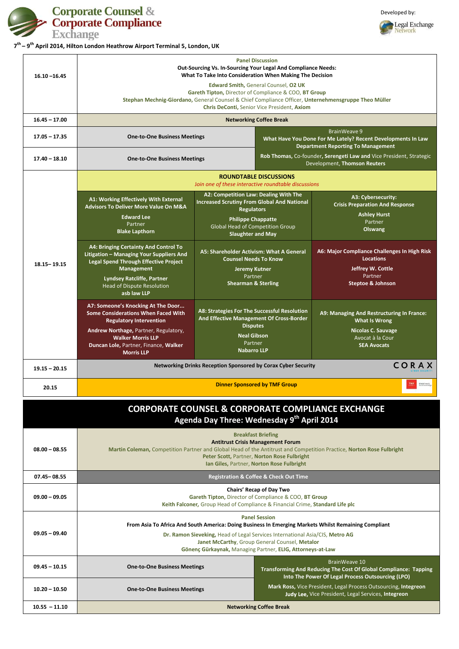



|                 | <b>Panel Discussion</b><br><b>Out-Sourcing Vs. In-Sourcing Your Legal And Compliance Needs:</b><br>What To Take Into Consideration When Making The Decision<br>Edward Smith, General Counsel, O2 UK<br>Gareth Tipton, Director of Compliance & COO, BT Group<br>Stephan Mechnig-Giordano, General Counsel & Chief Compliance Officer, Unternehmensgruppe Theo Müller<br>Chris DeConti, Senior Vice President, Axiom |                                                                                                                                                                                                                                                                                                                                                                       |                                                                                                                                  |                                                                                                                                          |
|-----------------|---------------------------------------------------------------------------------------------------------------------------------------------------------------------------------------------------------------------------------------------------------------------------------------------------------------------------------------------------------------------------------------------------------------------|-----------------------------------------------------------------------------------------------------------------------------------------------------------------------------------------------------------------------------------------------------------------------------------------------------------------------------------------------------------------------|----------------------------------------------------------------------------------------------------------------------------------|------------------------------------------------------------------------------------------------------------------------------------------|
| $16.10 - 16.45$ |                                                                                                                                                                                                                                                                                                                                                                                                                     |                                                                                                                                                                                                                                                                                                                                                                       |                                                                                                                                  |                                                                                                                                          |
| $16.45 - 17.00$ | <b>Networking Coffee Break</b>                                                                                                                                                                                                                                                                                                                                                                                      |                                                                                                                                                                                                                                                                                                                                                                       |                                                                                                                                  |                                                                                                                                          |
| $17.05 - 17.35$ | <b>One-to-One Business Meetings</b>                                                                                                                                                                                                                                                                                                                                                                                 |                                                                                                                                                                                                                                                                                                                                                                       | <b>BrainWeave 9</b><br>What Have You Done For Me Lately? Recent Developments In Law<br><b>Department Reporting To Management</b> |                                                                                                                                          |
| $17.40 - 18.10$ | <b>One-to-One Business Meetings</b>                                                                                                                                                                                                                                                                                                                                                                                 |                                                                                                                                                                                                                                                                                                                                                                       |                                                                                                                                  | Rob Thomas, Co-founder, Serengeti Law and Vice President, Strategic<br>Development, Thomson Reuters                                      |
|                 | <b>ROUNDTABLE DISCUSSIONS</b><br>Join one of these interactive roundtable discussions                                                                                                                                                                                                                                                                                                                               |                                                                                                                                                                                                                                                                                                                                                                       |                                                                                                                                  |                                                                                                                                          |
|                 | A1: Working Effectively With External<br><b>Advisors To Deliver More Value On M&amp;A</b><br><b>Edward Lee</b><br>Partner<br><b>Blake Lapthorn</b>                                                                                                                                                                                                                                                                  | A2: Competition Law: Dealing With The<br><b>Increased Scrutiny From Global And National</b><br><b>Regulators</b><br><b>Philippe Chappatte</b><br><b>Global Head of Competition Group</b><br><b>Slaughter and May</b><br>A5: Shareholder Activism: What A General<br><b>Counsel Needs To Know</b><br><b>Jeremy Kutner</b><br>Partner<br><b>Shearman &amp; Sterling</b> |                                                                                                                                  | A3: Cybersecurity:<br><b>Crisis Preparation And Response</b><br><b>Ashley Hurst</b><br>Partner<br><b>Olswang</b>                         |
| $18.15 - 19.15$ | <b>A4: Bringing Certainty And Control To</b><br>Litigation - Managing Your Suppliers And<br><b>Legal Spend Through Effective Project</b><br><b>Management</b><br><b>Lyndsey Ratcliffe, Partner</b><br><b>Head of Dispute Resolution</b><br>asb law LLP                                                                                                                                                              |                                                                                                                                                                                                                                                                                                                                                                       |                                                                                                                                  | A6: Major Compliance Challenges In High Risk<br><b>Locations</b><br>Jeffrey W. Cottle<br>Partner<br><b>Steptoe &amp; Johnson</b>         |
|                 | A7: Someone's Knocking At The Door<br><b>Some Considerations When Faced With</b><br><b>Regulatory Intervention</b><br>Andrew Northage, Partner, Regulatory,<br><b>Walker Morris LLP</b><br>Duncan Lole, Partner, Finance, Walker<br><b>Morris LLP</b>                                                                                                                                                               | A8: Strategies For The Successful Resolution<br>And Effective Management Of Cross-Border<br><b>Disputes</b><br><b>Neal Gibson</b><br>Partner<br><b>Nabarro LLP</b>                                                                                                                                                                                                    |                                                                                                                                  | A9: Managing And Restructuring In France:<br><b>What Is Wrong</b><br><b>Nicolas C. Sauvage</b><br>Avocat à la Cour<br><b>SEA Avocats</b> |
| $19.15 - 20.15$ | Networking Drinks Reception Sponsored by Corax Cyber Security<br>CORAX                                                                                                                                                                                                                                                                                                                                              |                                                                                                                                                                                                                                                                                                                                                                       |                                                                                                                                  |                                                                                                                                          |
| 20.15           | TMF<br>Glubal reach<br>Local homeing<br><b>Dinner Sponsored by TMF Group</b>                                                                                                                                                                                                                                                                                                                                        |                                                                                                                                                                                                                                                                                                                                                                       |                                                                                                                                  |                                                                                                                                          |
|                 |                                                                                                                                                                                                                                                                                                                                                                                                                     |                                                                                                                                                                                                                                                                                                                                                                       |                                                                                                                                  | COPPOPATE COLINICEL R. COPPOPATE COMPLIANCE EXCHANGE                                                                                     |

## **CORPORATE COUNSEL & CORPORATE COMPLIANCE EXCHANGE Agenda Day Three: Wednesday 9 th April 2014**

| $08.00 - 08.55$ | <b>Breakfast Briefing</b><br><b>Antitrust Crisis Management Forum</b><br>Martin Coleman, Competition Partner and Global Head of the Antitrust and Competition Practice, Norton Rose Fulbright<br>Peter Scott, Partner, Norton Rose Fulbright<br>Ian Giles, Partner, Norton Rose Fulbright |
|-----------------|-------------------------------------------------------------------------------------------------------------------------------------------------------------------------------------------------------------------------------------------------------------------------------------------|
| 07.45 - 08.55   | <b>Registration &amp; Coffee &amp; Check Out Time</b>                                                                                                                                                                                                                                     |

**Chairs' Recap of Day Two**

| $09.00 - 09.05$ | Chans needy of Day Two<br>Gareth Tipton, Director of Compliance & COO, BT Group<br>Keith Falconer, Group Head of Compliance & Financial Crime, Standard Life plc |                                                                                                                                                                                                                                                                                                                              |  |  |
|-----------------|------------------------------------------------------------------------------------------------------------------------------------------------------------------|------------------------------------------------------------------------------------------------------------------------------------------------------------------------------------------------------------------------------------------------------------------------------------------------------------------------------|--|--|
| $09.05 - 09.40$ |                                                                                                                                                                  | <b>Panel Session</b><br>From Asia To Africa And South America: Doing Business In Emerging Markets Whilst Remaining Compliant<br>Dr. Ramon Sieveking, Head of Legal Services International Asia/CIS, Metro AG<br>Janet McCarthy, Group General Counsel, Metalor<br>Gönenç Gürkaynak, Managing Partner, ELIG, Attorneys-at-Law |  |  |
| $09.45 - 10.15$ | <b>One-to-One Business Meetings</b>                                                                                                                              | BrainWeave 10<br><b>Transforming And Reducing The Cost Of Global Compliance: Tapping</b><br>Into The Power Of Legal Process Outsourcing (LPO)                                                                                                                                                                                |  |  |
| $10.20 - 10.50$ | <b>One-to-One Business Meetings</b>                                                                                                                              | Mark Ross, Vice President, Legal Process Outsourcing, Integreon<br>Judy Lee, Vice President, Legal Services, Integreon                                                                                                                                                                                                       |  |  |
| $10.55 - 11.10$ | <b>Networking Coffee Break</b>                                                                                                                                   |                                                                                                                                                                                                                                                                                                                              |  |  |